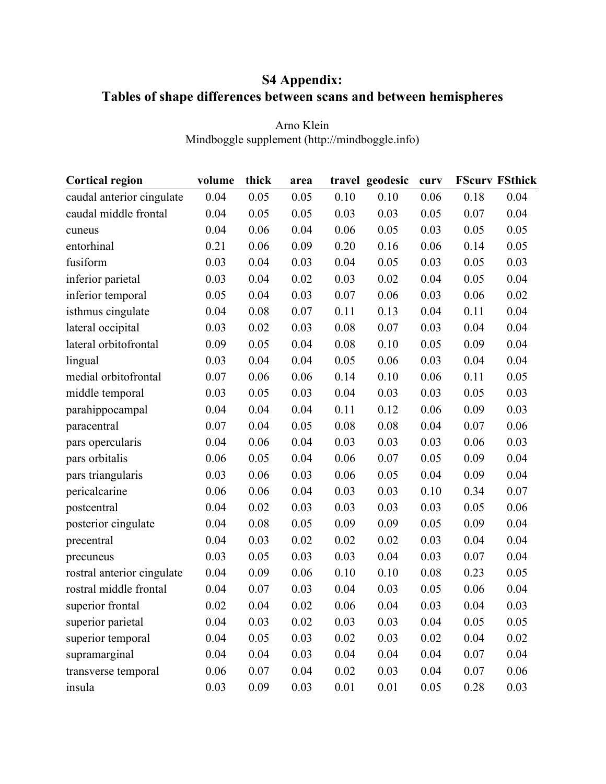## **S4 Appendix: Tables of shape differences between scans and between hemispheres**

| <b>Cortical region</b>     | volume   | thick | area |      | travel geodesic | curv |      | <b>FScurv FSthick</b> |
|----------------------------|----------|-------|------|------|-----------------|------|------|-----------------------|
| caudal anterior cingulate  | 0.04     | 0.05  | 0.05 | 0.10 | 0.10            | 0.06 | 0.18 | 0.04                  |
| caudal middle frontal      | 0.04     | 0.05  | 0.05 | 0.03 | 0.03            | 0.05 | 0.07 | 0.04                  |
| cuneus                     | 0.04     | 0.06  | 0.04 | 0.06 | 0.05            | 0.03 | 0.05 | 0.05                  |
| entorhinal                 | 0.21     | 0.06  | 0.09 | 0.20 | 0.16            | 0.06 | 0.14 | 0.05                  |
| fusiform                   | 0.03     | 0.04  | 0.03 | 0.04 | 0.05            | 0.03 | 0.05 | 0.03                  |
| inferior parietal          | 0.03     | 0.04  | 0.02 | 0.03 | 0.02            | 0.04 | 0.05 | 0.04                  |
| inferior temporal          | 0.05     | 0.04  | 0.03 | 0.07 | 0.06            | 0.03 | 0.06 | 0.02                  |
| isthmus cingulate          | 0.04     | 0.08  | 0.07 | 0.11 | 0.13            | 0.04 | 0.11 | 0.04                  |
| lateral occipital          | 0.03     | 0.02  | 0.03 | 0.08 | $0.07\,$        | 0.03 | 0.04 | 0.04                  |
| lateral orbitofrontal      | 0.09     | 0.05  | 0.04 | 0.08 | 0.10            | 0.05 | 0.09 | 0.04                  |
| lingual                    | 0.03     | 0.04  | 0.04 | 0.05 | 0.06            | 0.03 | 0.04 | 0.04                  |
| medial orbitofrontal       | 0.07     | 0.06  | 0.06 | 0.14 | 0.10            | 0.06 | 0.11 | 0.05                  |
| middle temporal            | 0.03     | 0.05  | 0.03 | 0.04 | 0.03            | 0.03 | 0.05 | 0.03                  |
| parahippocampal            | 0.04     | 0.04  | 0.04 | 0.11 | 0.12            | 0.06 | 0.09 | 0.03                  |
| paracentral                | 0.07     | 0.04  | 0.05 | 0.08 | 0.08            | 0.04 | 0.07 | 0.06                  |
| pars opercularis           | 0.04     | 0.06  | 0.04 | 0.03 | 0.03            | 0.03 | 0.06 | 0.03                  |
| pars orbitalis             | $0.06\,$ | 0.05  | 0.04 | 0.06 | 0.07            | 0.05 | 0.09 | 0.04                  |
| pars triangularis          | 0.03     | 0.06  | 0.03 | 0.06 | 0.05            | 0.04 | 0.09 | 0.04                  |
| pericalcarine              | 0.06     | 0.06  | 0.04 | 0.03 | 0.03            | 0.10 | 0.34 | 0.07                  |
| postcentral                | 0.04     | 0.02  | 0.03 | 0.03 | 0.03            | 0.03 | 0.05 | 0.06                  |
| posterior cingulate        | 0.04     | 0.08  | 0.05 | 0.09 | 0.09            | 0.05 | 0.09 | 0.04                  |
| precentral                 | 0.04     | 0.03  | 0.02 | 0.02 | 0.02            | 0.03 | 0.04 | 0.04                  |
| precuneus                  | 0.03     | 0.05  | 0.03 | 0.03 | 0.04            | 0.03 | 0.07 | 0.04                  |
| rostral anterior cingulate | 0.04     | 0.09  | 0.06 | 0.10 | 0.10            | 0.08 | 0.23 | 0.05                  |
| rostral middle frontal     | 0.04     | 0.07  | 0.03 | 0.04 | 0.03            | 0.05 | 0.06 | 0.04                  |
| superior frontal           | 0.02     | 0.04  | 0.02 | 0.06 | 0.04            | 0.03 | 0.04 | 0.03                  |
| superior parietal          | 0.04     | 0.03  | 0.02 | 0.03 | 0.03            | 0.04 | 0.05 | 0.05                  |
| superior temporal          | 0.04     | 0.05  | 0.03 | 0.02 | 0.03            | 0.02 | 0.04 | 0.02                  |
| supramarginal              | 0.04     | 0.04  | 0.03 | 0.04 | 0.04            | 0.04 | 0.07 | 0.04                  |
| transverse temporal        | 0.06     | 0.07  | 0.04 | 0.02 | 0.03            | 0.04 | 0.07 | 0.06                  |
| insula                     | 0.03     | 0.09  | 0.03 | 0.01 | 0.01            | 0.05 | 0.28 | 0.03                  |

Arno Klein Mindboggle supplement (http://mindboggle.info)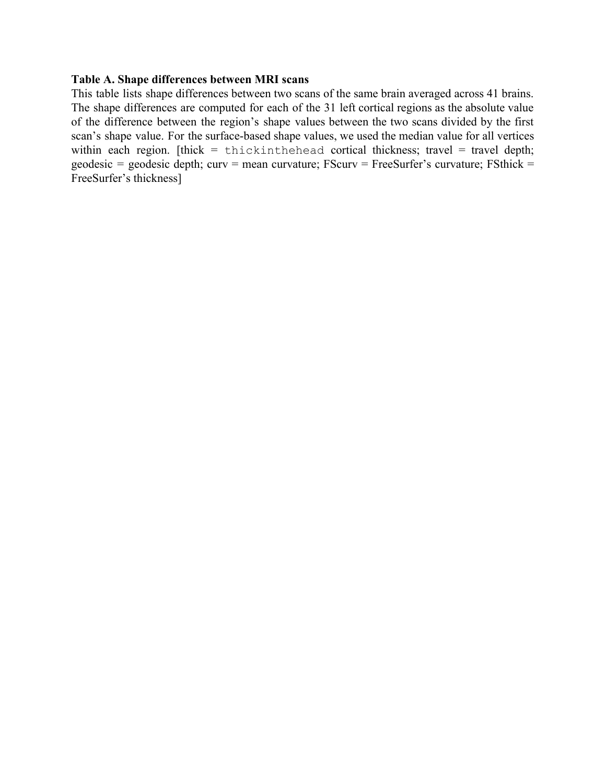## **Table A. Shape differences between MRI scans**

This table lists shape differences between two scans of the same brain averaged across 41 brains. The shape differences are computed for each of the 31 left cortical regions as the absolute value of the difference between the region's shape values between the two scans divided by the first scan's shape value. For the surface-based shape values, we used the median value for all vertices within each region. [thick = thickinthehead cortical thickness; travel = travel depth; geodesic = geodesic depth; curv = mean curvature; FScurv = FreeSurfer's curvature; FSthick = FreeSurfer's thickness]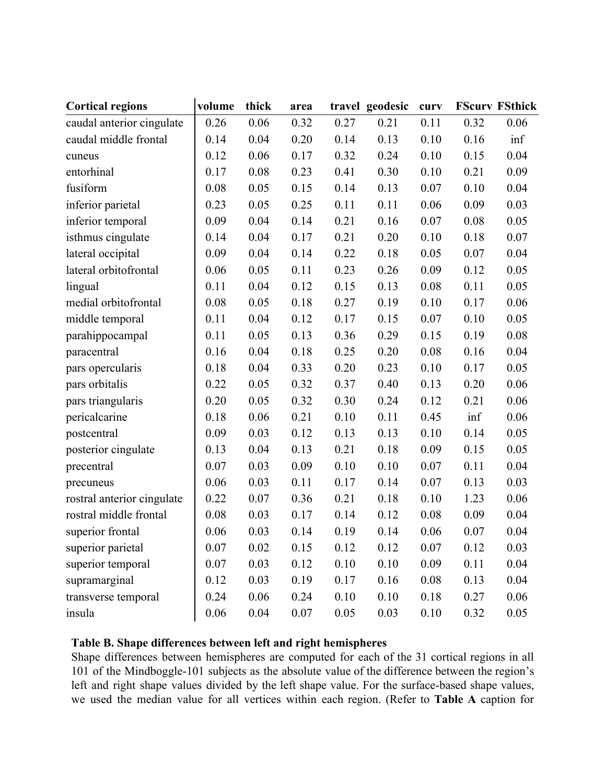| <b>Cortical regions</b>    | volume | thick | area |      | travel geodesic | curv |      | <b>FScurv FSthick</b> |
|----------------------------|--------|-------|------|------|-----------------|------|------|-----------------------|
| caudal anterior cingulate  | 0.26   | 0.06  | 0.32 | 0.27 | 0.21            | 0.11 | 0.32 | 0.06                  |
| caudal middle frontal      | 0.14   | 0.04  | 0.20 | 0.14 | 0.13            | 0.10 | 0.16 | inf                   |
| cuneus                     | 0.12   | 0.06  | 0.17 | 0.32 | 0.24            | 0.10 | 0.15 | 0.04                  |
| entorhinal                 | 0.17   | 0.08  | 0.23 | 0.41 | 0.30            | 0.10 | 0.21 | 0.09                  |
| fusiform                   | 0.08   | 0.05  | 0.15 | 0.14 | 0.13            | 0.07 | 0.10 | 0.04                  |
| inferior parietal          | 0.23   | 0.05  | 0.25 | 0.11 | 0.11            | 0.06 | 0.09 | 0.03                  |
| inferior temporal          | 0.09   | 0.04  | 0.14 | 0.21 | 0.16            | 0.07 | 0.08 | 0.05                  |
| isthmus cingulate          | 0.14   | 0.04  | 0.17 | 0.21 | 0.20            | 0.10 | 0.18 | 0.07                  |
| lateral occipital          | 0.09   | 0.04  | 0.14 | 0.22 | 0.18            | 0.05 | 0.07 | 0.04                  |
| lateral orbitofrontal      | 0.06   | 0.05  | 0.11 | 0.23 | 0.26            | 0.09 | 0.12 | 0.05                  |
| lingual                    | 0.11   | 0.04  | 0.12 | 0.15 | 0.13            | 0.08 | 0.11 | 0.05                  |
| medial orbitofrontal       | 0.08   | 0.05  | 0.18 | 0.27 | 0.19            | 0.10 | 0.17 | 0.06                  |
| middle temporal            | 0.11   | 0.04  | 0.12 | 0.17 | 0.15            | 0.07 | 0.10 | 0.05                  |
| parahippocampal            | 0.11   | 0.05  | 0.13 | 0.36 | 0.29            | 0.15 | 0.19 | 0.08                  |
| paracentral                | 0.16   | 0.04  | 0.18 | 0.25 | 0.20            | 0.08 | 0.16 | 0.04                  |
| pars opercularis           | 0.18   | 0.04  | 0.33 | 0.20 | 0.23            | 0.10 | 0.17 | 0.05                  |
| pars orbitalis             | 0.22   | 0.05  | 0.32 | 0.37 | 0.40            | 0.13 | 0.20 | 0.06                  |
| pars triangularis          | 0.20   | 0.05  | 0.32 | 0.30 | 0.24            | 0.12 | 0.21 | 0.06                  |
| pericalcarine              | 0.18   | 0.06  | 0.21 | 0.10 | 0.11            | 0.45 | inf  | 0.06                  |
| postcentral                | 0.09   | 0.03  | 0.12 | 0.13 | 0.13            | 0.10 | 0.14 | 0.05                  |
| posterior cingulate        | 0.13   | 0.04  | 0.13 | 0.21 | 0.18            | 0.09 | 0.15 | 0.05                  |
| precentral                 | 0.07   | 0.03  | 0.09 | 0.10 | 0.10            | 0.07 | 0.11 | 0.04                  |
| precuneus                  | 0.06   | 0.03  | 0.11 | 0.17 | 0.14            | 0.07 | 0.13 | 0.03                  |
| rostral anterior cingulate | 0.22   | 0.07  | 0.36 | 0.21 | 0.18            | 0.10 | 1.23 | 0.06                  |
| rostral middle frontal     | 0.08   | 0.03  | 0.17 | 0.14 | 0.12            | 0.08 | 0.09 | 0.04                  |
| superior frontal           | 0.06   | 0.03  | 0.14 | 0.19 | 0.14            | 0.06 | 0.07 | 0.04                  |
| superior parietal          | 0.07   | 0.02  | 0.15 | 0.12 | 0.12            | 0.07 | 0.12 | 0.03                  |
| superior temporal          | 0.07   | 0.03  | 0.12 | 0.10 | 0.10            | 0.09 | 0.11 | 0.04                  |
| supramarginal              | 0.12   | 0.03  | 0.19 | 0.17 | 0.16            | 0.08 | 0.13 | 0.04                  |
| transverse temporal        | 0.24   | 0.06  | 0.24 | 0.10 | 0.10            | 0.18 | 0.27 | 0.06                  |
| insula                     | 0.06   | 0.04  | 0.07 | 0.05 | 0.03            | 0.10 | 0.32 | 0.05                  |

## **Table B. Shape differences between left and right hemispheres**

Shape differences between hemispheres are computed for each of the 31 cortical regions in all 101 of the Mindboggle-101 subjects as the absolute value of the difference between the region's left and right shape values divided by the left shape value. For the surface-based shape values, we used the median value for all vertices within each region. (Refer to **Table A** caption for